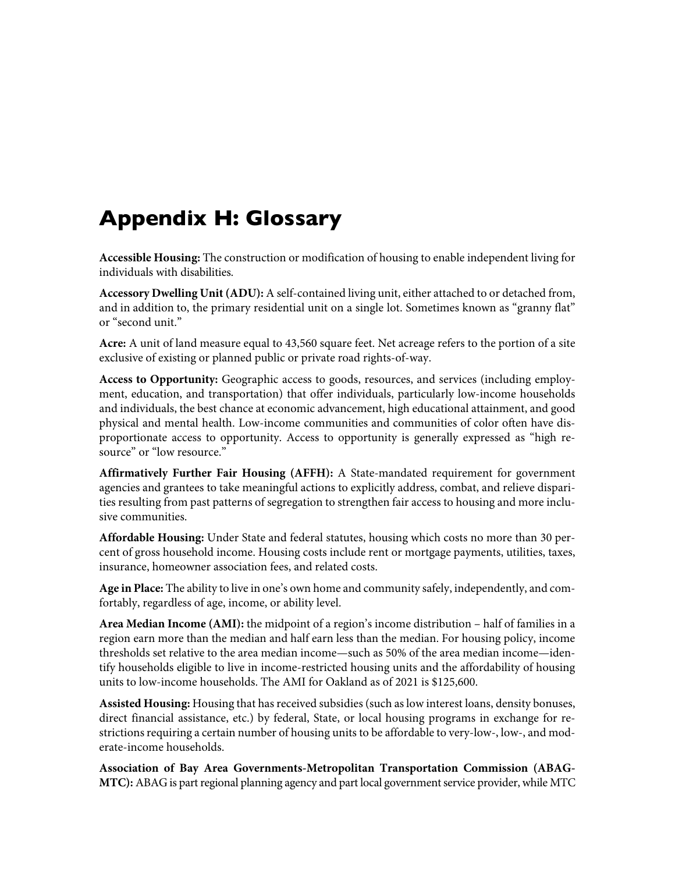## **Appendix H: Glossary**

**Accessible Housing:** The construction or modification of housing to enable independent living for individuals with disabilities.

**Accessory Dwelling Unit (ADU):** A self-contained living unit, either attached to or detached from, and in addition to, the primary residential unit on a single lot. Sometimes known as "granny flat" or "second unit."

**Acre:** A unit of land measure equal to 43,560 square feet. Net acreage refers to the portion of a site exclusive of existing or planned public or private road rights-of-way.

**Access to Opportunity:** Geographic access to goods, resources, and services (including employment, education, and transportation) that offer individuals, particularly low-income households and individuals, the best chance at economic advancement, high educational attainment, and good physical and mental health. Low-income communities and communities of color often have disproportionate access to opportunity. Access to opportunity is generally expressed as "high resource" or "low resource."

**Affirmatively Further Fair Housing (AFFH):** A State-mandated requirement for government agencies and grantees to take meaningful actions to explicitly address, combat, and relieve disparities resulting from past patterns of segregation to strengthen fair access to housing and more inclusive communities.

**Affordable Housing:** Under State and federal statutes, housing which costs no more than 30 percent of gross household income. Housing costs include rent or mortgage payments, utilities, taxes, insurance, homeowner association fees, and related costs.

**Age in Place:** The ability to live in one's own home and community safely, independently, and comfortably, regardless of age, income, or ability level.

**Area Median Income (AMI):** the midpoint of a region's income distribution – half of families in a region earn more than the median and half earn less than the median. For housing policy, income thresholds set relative to the area median income—such as 50% of the area median income—identify households eligible to live in income-restricted housing units and the affordability of housing units to low-income households. The AMI for Oakland as of 2021 is \$125,600.

**Assisted Housing:** Housing that has received subsidies (such as low interest loans, density bonuses, direct financial assistance, etc.) by federal, State, or local housing programs in exchange for restrictions requiring a certain number of housing units to be affordable to very-low-, low-, and moderate-income households.

**Association of Bay Area Governments-Metropolitan Transportation Commission (ABAG-MTC):** ABAG is part regional planning agency and part local government service provider, while MTC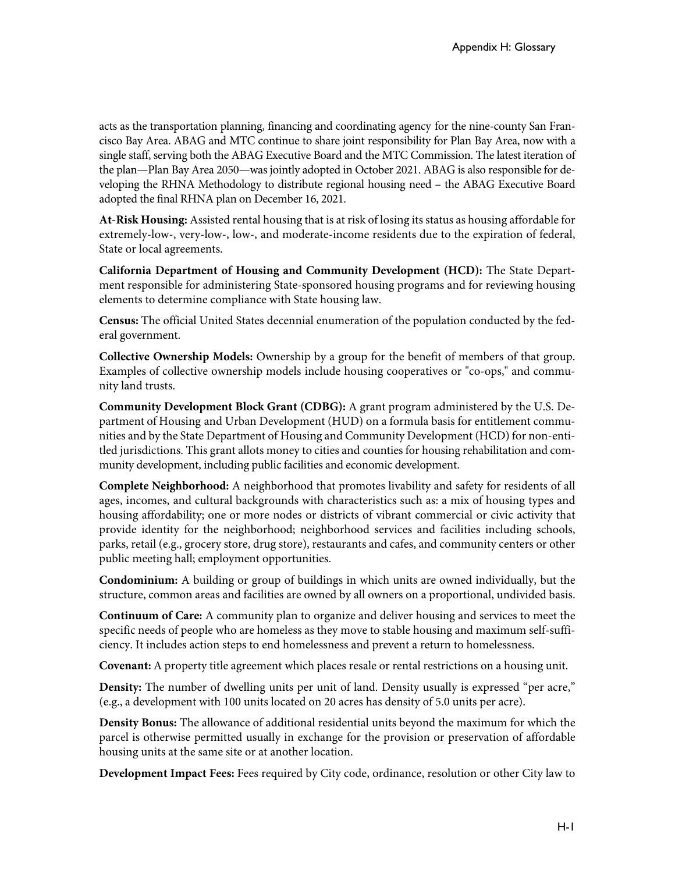acts as the transportation planning, financing and coordinating agency for the nine-county San Francisco Bay Area. ABAG and MTC continue to share joint responsibility for Plan Bay Area, now with a single staff, serving both the ABAG Executive Board and the MTC Commission. The latest iteration of the plan—Plan Bay Area 2050—was jointly adopted in October 2021. ABAG is also responsible for developing the RHNA Methodology to distribute regional housing need – the ABAG Executive Board adopted the final RHNA plan on December 16, 2021.

**At-Risk Housing:** Assisted rental housing that is at risk of losing its status as housing affordable for extremely-low-, very-low-, low-, and moderate-income residents due to the expiration of federal, State or local agreements.

**California Department of Housing and Community Development (HCD):** The State Department responsible for administering State-sponsored housing programs and for reviewing housing elements to determine compliance with State housing law.

**Census:** The official United States decennial enumeration of the population conducted by the federal government.

**Collective Ownership Models:** Ownership by a group for the benefit of members of that group. Examples of collective ownership models include housing cooperatives or "co-ops," and community land trusts.

**Community Development Block Grant (CDBG):** A grant program administered by the U.S. Department of Housing and Urban Development (HUD) on a formula basis for entitlement communities and by the State Department of Housing and Community Development (HCD) for non-entitled jurisdictions. This grant allots money to cities and counties for housing rehabilitation and community development, including public facilities and economic development.

**Complete Neighborhood:** A neighborhood that promotes livability and safety for residents of all ages, incomes, and cultural backgrounds with characteristics such as: a mix of housing types and housing affordability; one or more nodes or districts of vibrant commercial or civic activity that provide identity for the neighborhood; neighborhood services and facilities including schools, parks, retail (e.g., grocery store, drug store), restaurants and cafes, and community centers or other public meeting hall; employment opportunities.

**Condominium:** A building or group of buildings in which units are owned individually, but the structure, common areas and facilities are owned by all owners on a proportional, undivided basis.

**Continuum of Care:** A community plan to organize and deliver housing and services to meet the specific needs of people who are homeless as they move to stable housing and maximum self-sufficiency. It includes action steps to end homelessness and prevent a return to homelessness.

**Covenant:** A property title agreement which places resale or rental restrictions on a housing unit.

**Density:** The number of dwelling units per unit of land. Density usually is expressed "per acre," (e.g., a development with 100 units located on 20 acres has density of 5.0 units per acre).

**Density Bonus:** The allowance of additional residential units beyond the maximum for which the parcel is otherwise permitted usually in exchange for the provision or preservation of affordable housing units at the same site or at another location.

**Development Impact Fees:** Fees required by City code, ordinance, resolution or other City law to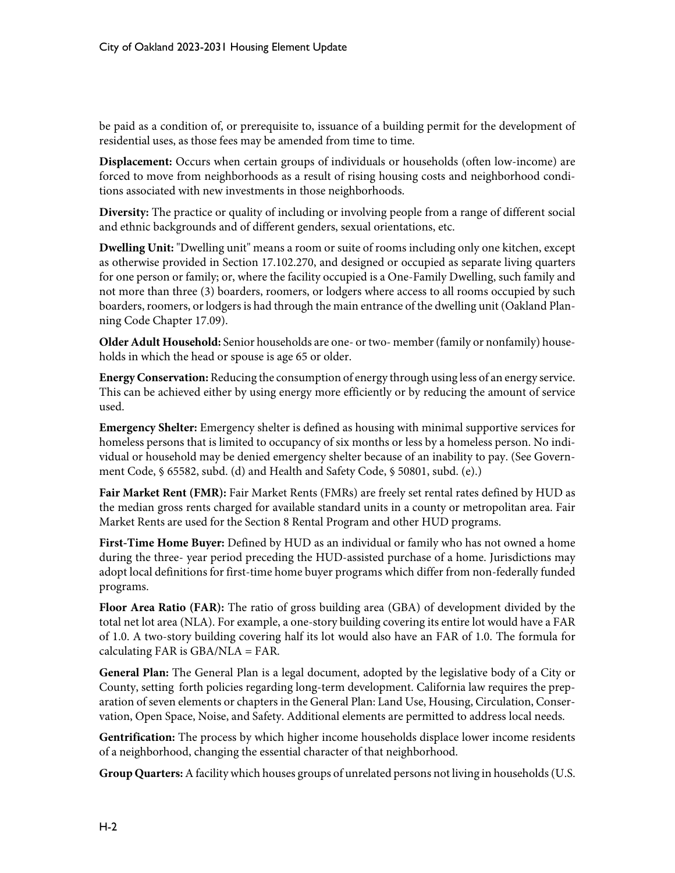be paid as a condition of, or prerequisite to, issuance of a building permit for the development of residential uses, as those fees may be amended from time to time.

**Displacement:** Occurs when certain groups of individuals or households (often low-income) are forced to move from neighborhoods as a result of rising housing costs and neighborhood conditions associated with new investments in those neighborhoods.

**Diversity:** The practice or quality of including or involving people from a range of different social and ethnic backgrounds and of different genders, sexual orientations, etc.

**Dwelling Unit:** "Dwelling unit" means a room or suite of rooms including only one kitchen, except as otherwise provided in Section 17.102.270, and designed or occupied as separate living quarters for one person or family; or, where the facility occupied is a One-Family Dwelling, such family and not more than three (3) boarders, roomers, or lodgers where access to all rooms occupied by such boarders, roomers, or lodgers is had through the main entrance of the dwelling unit (Oakland Planning Code Chapter 17.09).

**Older Adult Household:** Senior households are one- ortwo- member(family or nonfamily) households in which the head or spouse is age 65 or older.

**EnergyConservation:** Reducing the consumption of energy through using less of an energy service. This can be achieved either by using energy more efficiently or by reducing the amount of service used.

**Emergency Shelter:** Emergency shelter is defined as housing with minimal supportive services for homeless persons that is limited to occupancy of six months or less by a homeless person. No individual or household may be denied emergency shelter because of an inability to pay. (See Government Code, § 65582, subd. (d) and Health and Safety Code, § 50801, subd. (e).)

**Fair Market Rent (FMR):** Fair Market Rents (FMRs) are freely set rental rates defined by HUD as the median gross rents charged for available standard units in a county or metropolitan area. Fair Market Rents are used for the Section 8 Rental Program and other HUD programs.

**First-Time Home Buyer:** Defined by HUD as an individual or family who has not owned a home during the three- year period preceding the HUD-assisted purchase of a home. Jurisdictions may adopt local definitions for first-time home buyer programs which differ from non-federally funded programs.

**Floor Area Ratio (FAR):** The ratio of gross building area (GBA) of development divided by the total net lot area (NLA). For example, a one-story building covering its entire lot would have a FAR of 1.0. A two-story building covering half its lot would also have an FAR of 1.0. The formula for calculating FAR is  $GBA/NLA = FAR$ .

**General Plan:** The General Plan is a legal document, adopted by the legislative body of a City or County, setting forth policies regarding long-term development. California law requires the preparation of seven elements or chapters in the General Plan: Land Use, Housing, Circulation, Conservation, Open Space, Noise, and Safety. Additional elements are permitted to address local needs.

**Gentrification:** The process by which higher income households displace lower income residents of a neighborhood, changing the essential character of that neighborhood.

**Group Quarters:** A facility which houses groups of unrelated persons not living in households (U.S.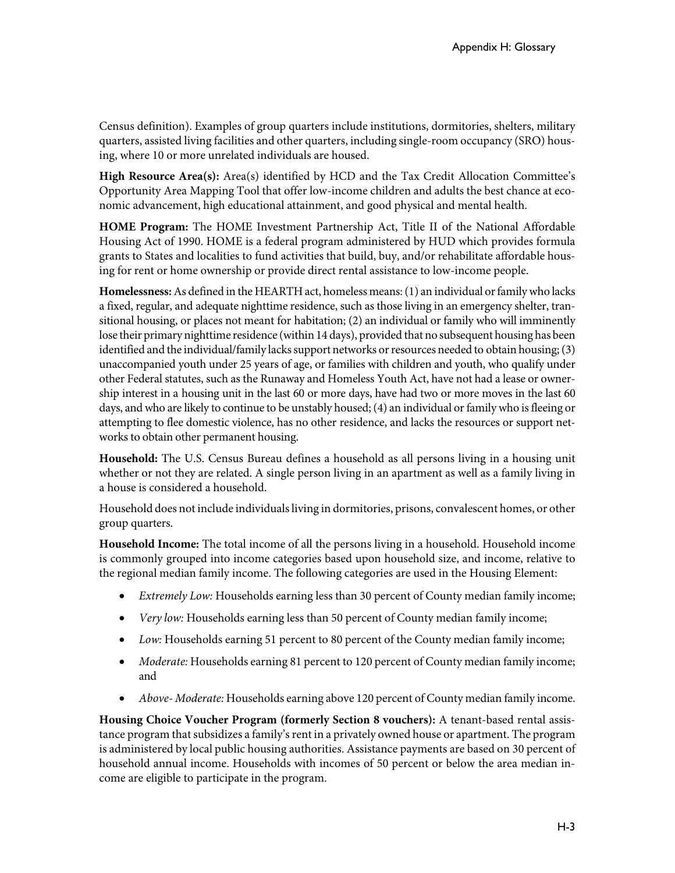Census definition). Examples of group quarters include institutions, dormitories, shelters, military quarters, assisted living facilities and other quarters, including single-room occupancy (SRO) housing, where 10 or more unrelated individuals are housed.

High Resource Area(s): Area(s) identified by HCD and the Tax Credit Allocation Committee's Opportunity Area Mapping Tool that offer low-income children and adults the best chance at economic advancement, high educational attainment, and good physical and mental health.

**HOME Program:** The HOME Investment Partnership Act, Title II of the National Affordable Housing Act of 1990. HOME is a federal program administered by HUD which provides formula grants to States and localities to fund activities that build, buy, and/or rehabilitate affordable housing for rent or home ownership or provide direct rental assistance to low-income people.

Homelessness: As defined in the HEARTH act, homeless means: (1) an individual or family who lacks a fixed, regular, and adequate nighttime residence, such as those living in an emergency shelter, transitional housing, or places not meant for habitation; (2) an individual or family who will imminently lose their primary nighttime residence (within 14 days), provided that no subsequent housing has been identified and the individual/family lacks support networks or resources needed to obtain housing; (3) unaccompanied youth under 25 years of age, or families with children and youth, who qualify under other Federal statutes, such as the Runaway and Homeless Youth Act, have not had a lease or ownership interest in a housing unit in the last 60 or more days, have had two or more moves in the last 60 days, and who are likely to continue to be unstably housed; (4) an individual or family who is fleeing or attempting to flee domestic violence, has no other residence, and lacks the resources or support networks to obtain other permanent housing.

**Household:** The U.S. Census Bureau defines a household as all persons living in a housing unit whether or not they are related. A single person living in an apartment as well as a family living in a house is considered a household.

Household does not include individualsliving in dormitories, prisons, convalescent homes, or other group quarters.

**Household Income:** The total income of all the persons living in a household. Household income is commonly grouped into income categories based upon household size, and income, relative to the regional median family income. The following categories are used in the Housing Element:

- *Extremely Low:* Households earning less than 30 percent of County median family income;
- *Very low:* Households earning less than 50 percent of County median family income;
- *Low:* Households earning 51 percent to 80 percent of the County median family income;
- *Moderate:* Households earning 81 percent to 120 percent of County median family income; and
- *Above- Moderate:* Households earning above 120 percent of County median family income.

**Housing Choice Voucher Program (formerly Section 8 vouchers):** A tenant-based rental assistance program that subsidizes a family's rent in a privately owned house or apartment. The program is administered by local public housing authorities. Assistance payments are based on 30 percent of household annual income. Households with incomes of 50 percent or below the area median income are eligible to participate in the program.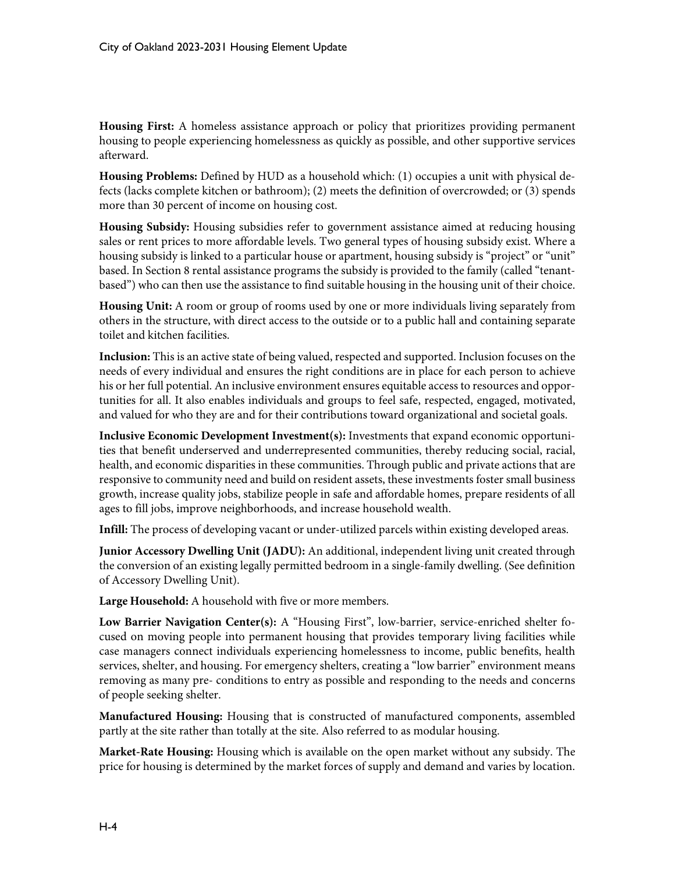**Housing First:** A homeless assistance approach or policy that prioritizes providing permanent housing to people experiencing homelessness as quickly as possible, and other supportive services afterward.

**Housing Problems:** Defined by HUD as a household which: (1) occupies a unit with physical defects (lacks complete kitchen or bathroom); (2) meets the definition of overcrowded; or (3) spends more than 30 percent of income on housing cost.

**Housing Subsidy:** Housing subsidies refer to government assistance aimed at reducing housing sales or rent prices to more affordable levels. Two general types of housing subsidy exist. Where a housing subsidy is linked to a particular house or apartment, housing subsidy is "project" or "unit" based. In Section 8 rental assistance programs the subsidy is provided to the family (called "tenantbased") who can then use the assistance to find suitable housing in the housing unit of their choice.

**Housing Unit:** A room or group of rooms used by one or more individuals living separately from others in the structure, with direct access to the outside or to a public hall and containing separate toilet and kitchen facilities.

**Inclusion:** This is an active state of being valued, respected and supported. Inclusion focuses on the needs of every individual and ensures the right conditions are in place for each person to achieve his or her full potential. An inclusive environment ensures equitable access to resources and opportunities for all. It also enables individuals and groups to feel safe, respected, engaged, motivated, and valued for who they are and for their contributions toward organizational and societal goals.

**Inclusive Economic Development Investment(s):** Investments that expand economic opportunities that benefit underserved and underrepresented communities, thereby reducing social, racial, health, and economic disparities in these communities. Through public and private actions that are responsive to community need and build on resident assets, these investments foster small business growth, increase quality jobs, stabilize people in safe and affordable homes, prepare residents of all ages to fill jobs, improve neighborhoods, and increase household wealth.

**Infill:** The process of developing vacant or under-utilized parcels within existing developed areas.

**Junior Accessory Dwelling Unit (JADU):** An additional, independent living unit created through the conversion of an existing legally permitted bedroom in a single-family dwelling. (See definition of Accessory Dwelling Unit).

**Large Household:** A household with five or more members.

**Low Barrier Navigation Center(s):** A "Housing First", low-barrier, service-enriched shelter focused on moving people into permanent housing that provides temporary living facilities while case managers connect individuals experiencing homelessness to income, public benefits, health services, shelter, and housing. For emergency shelters, creating a "low barrier" environment means removing as many pre- conditions to entry as possible and responding to the needs and concerns of people seeking shelter.

**Manufactured Housing:** Housing that is constructed of manufactured components, assembled partly at the site rather than totally at the site. Also referred to as modular housing.

**Market-Rate Housing:** Housing which is available on the open market without any subsidy. The price for housing is determined by the market forces of supply and demand and varies by location.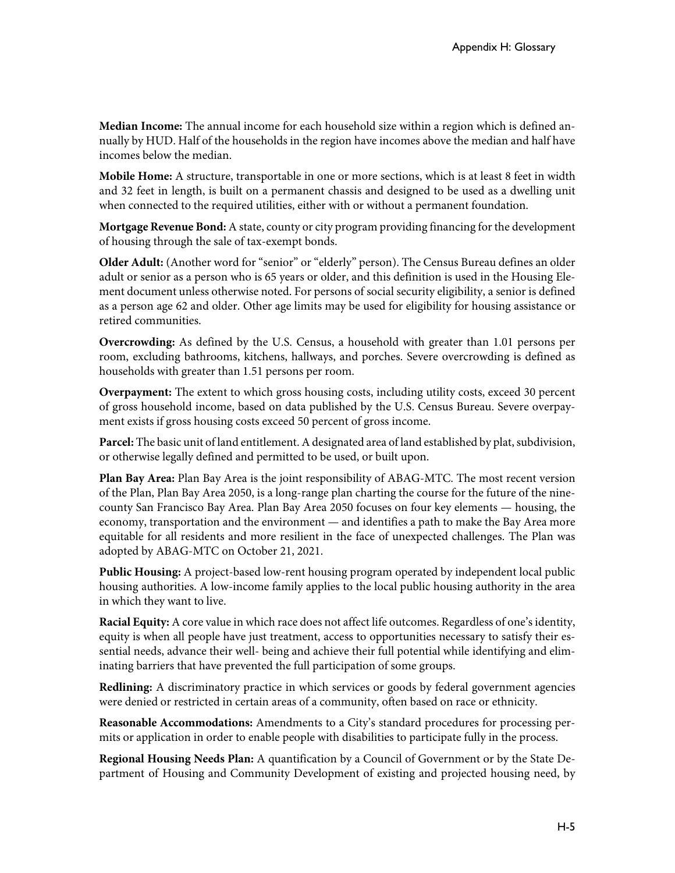**Median Income:** The annual income for each household size within a region which is defined annually by HUD. Half of the households in the region have incomes above the median and half have incomes below the median.

**Mobile Home:** A structure, transportable in one or more sections, which is at least 8 feet in width and 32 feet in length, is built on a permanent chassis and designed to be used as a dwelling unit when connected to the required utilities, either with or without a permanent foundation.

**Mortgage Revenue Bond:** A state, county or city program providing financing forthe development of housing through the sale of tax-exempt bonds.

**Older Adult:** (Another word for "senior" or "elderly" person). The Census Bureau defines an older adult or senior as a person who is 65 years or older, and this definition is used in the Housing Element document unless otherwise noted. For persons of social security eligibility, a senior is defined as a person age 62 and older. Other age limits may be used for eligibility for housing assistance or retired communities.

**Overcrowding:** As defined by the U.S. Census, a household with greater than 1.01 persons per room, excluding bathrooms, kitchens, hallways, and porches. Severe overcrowding is defined as households with greater than 1.51 persons per room.

**Overpayment:** The extent to which gross housing costs, including utility costs, exceed 30 percent of gross household income, based on data published by the U.S. Census Bureau. Severe overpayment exists if gross housing costs exceed 50 percent of gross income.

Parcel: The basic unit of land entitlement. A designated area of land established by plat, subdivision, or otherwise legally defined and permitted to be used, or built upon.

**Plan Bay Area:** Plan Bay Area is the joint responsibility of ABAG-MTC. The most recent version of the Plan, Plan Bay Area 2050, is a long-range plan charting the course for the future of the ninecounty San Francisco Bay Area. Plan Bay Area 2050 focuses on four key elements — housing, the economy, transportation and the environment — and identifies a path to make the Bay Area more equitable for all residents and more resilient in the face of unexpected challenges. The Plan was adopted by ABAG-MTC on October 21, 2021.

**Public Housing:** A project-based low-rent housing program operated by independent local public housing authorities. A low-income family applies to the local public housing authority in the area in which they want to live.

**Racial Equity:** A core value in which race does not affect life outcomes. Regardless of one's identity, equity is when all people have just treatment, access to opportunities necessary to satisfy their essential needs, advance their well- being and achieve their full potential while identifying and eliminating barriers that have prevented the full participation of some groups.

**Redlining:** A discriminatory practice in which services or goods by federal government agencies were denied or restricted in certain areas of a community, often based on race or ethnicity.

**Reasonable Accommodations:** Amendments to a City's standard procedures for processing permits or application in order to enable people with disabilities to participate fully in the process.

**Regional Housing Needs Plan:** A quantification by a Council of Government or by the State Department of Housing and Community Development of existing and projected housing need, by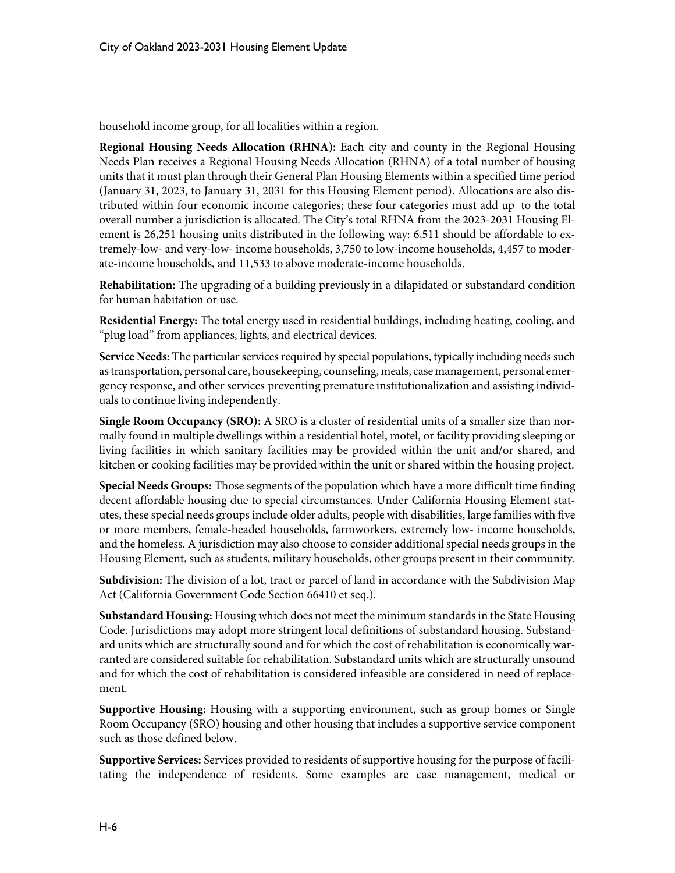household income group, for all localities within a region.

**Regional Housing Needs Allocation (RHNA):** Each city and county in the Regional Housing Needs Plan receives a Regional Housing Needs Allocation (RHNA) of a total number of housing units that it must plan through their General Plan Housing Elements within a specified time period (January 31, 2023, to January 31, 2031 for this Housing Element period). Allocations are also distributed within four economic income categories; these four categories must add up to the total overall number a jurisdiction is allocated. The City's total RHNA from the 2023-2031 Housing Element is 26,251 housing units distributed in the following way: 6,511 should be affordable to extremely-low- and very-low- income households, 3,750 to low-income households, 4,457 to moderate-income households, and 11,533 to above moderate-income households.

**Rehabilitation:** The upgrading of a building previously in a dilapidated or substandard condition for human habitation or use.

**Residential Energy:** The total energy used in residential buildings, including heating, cooling, and "plug load" from appliances, lights, and electrical devices.

**Service Needs:** The particular services required by special populations, typically including needs such astransportation, personal care, housekeeping, counseling, meals, case management, personal emergency response, and other services preventing premature institutionalization and assisting individuals to continue living independently.

**Single Room Occupancy (SRO):** A SRO is a cluster of residential units of a smaller size than normally found in multiple dwellings within a residential hotel, motel, or facility providing sleeping or living facilities in which sanitary facilities may be provided within the unit and/or shared, and kitchen or cooking facilities may be provided within the unit or shared within the housing project.

**Special Needs Groups:** Those segments of the population which have a more difficult time finding decent affordable housing due to special circumstances. Under California Housing Element statutes, these special needs groups include older adults, people with disabilities, large families with five or more members, female-headed households, farmworkers, extremely low- income households, and the homeless. A jurisdiction may also choose to consider additional special needs groups in the Housing Element, such as students, military households, other groups present in their community.

**Subdivision:** The division of a lot, tract or parcel of land in accordance with the Subdivision Map Act (California Government Code Section 66410 et seq.).

**Substandard Housing:** Housing which does not meet the minimum standards in the State Housing Code. Jurisdictions may adopt more stringent local definitions of substandard housing. Substandard units which are structurally sound and for which the cost of rehabilitation is economically warranted are considered suitable for rehabilitation. Substandard units which are structurally unsound and for which the cost of rehabilitation is considered infeasible are considered in need of replacement.

**Supportive Housing:** Housing with a supporting environment, such as group homes or Single Room Occupancy (SRO) housing and other housing that includes a supportive service component such as those defined below.

**Supportive Services:** Services provided to residents of supportive housing for the purpose of facilitating the independence of residents. Some examples are case management, medical or